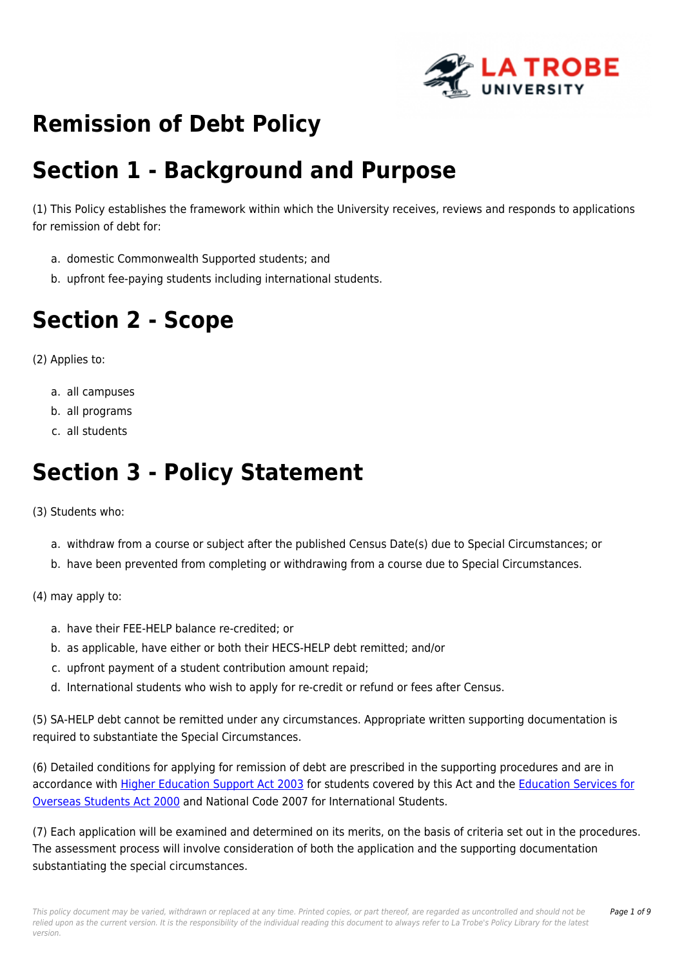

# **Remission of Debt Policy**

# **Section 1 - Background and Purpose**

(1) This Policy establishes the framework within which the University receives, reviews and responds to applications for remission of debt for:

- a. domestic Commonwealth Supported students; and
- b. upfront fee-paying students including international students.

# **Section 2 - Scope**

(2) Applies to:

- a. all campuses
- b. all programs
- c. all students

# **Section 3 - Policy Statement**

(3) Students who:

- a. withdraw from a course or subject after the published Census Date(s) due to Special Circumstances; or
- b. have been prevented from completing or withdrawing from a course due to Special Circumstances.

(4) may apply to:

- a. have their FEE-HELP balance re-credited; or
- b. as applicable, have either or both their HECS-HELP debt remitted; and/or
- c. upfront payment of a student contribution amount repaid;
- d. International students who wish to apply for re-credit or refund or fees after Census.

(5) SA-HELP debt cannot be remitted under any circumstances. Appropriate written supporting documentation is required to substantiate the Special Circumstances.

(6) Detailed conditions for applying for remission of debt are prescribed in the supporting procedures and are in accordance with [Higher Education Support Act 2003](https://policies.latrobe.edu.au/directory/summary.php?legislation=78) for students covered by this Act and the [Education Services for](https://policies.latrobe.edu.au/directory/summary.php?legislation=57) [Overseas Students Act 2000](https://policies.latrobe.edu.au/directory/summary.php?legislation=57) and National Code 2007 for International Students.

(7) Each application will be examined and determined on its merits, on the basis of criteria set out in the procedures. The assessment process will involve consideration of both the application and the supporting documentation substantiating the special circumstances.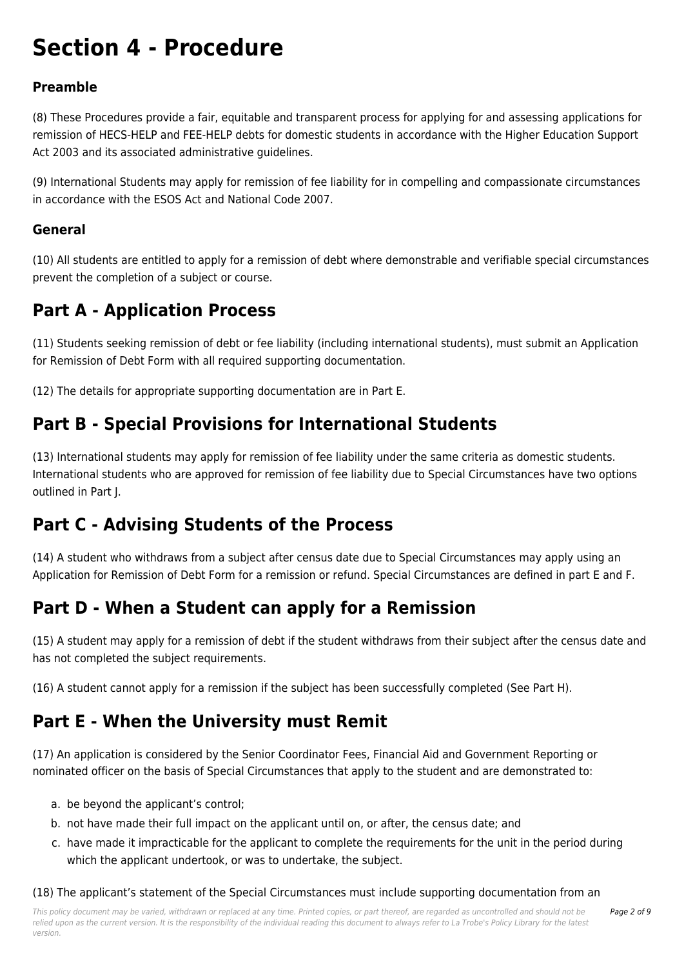# **Section 4 - Procedure**

#### **Preamble**

(8) These Procedures provide a fair, equitable and transparent process for applying for and assessing applications for remission of HECS-HELP and FEE-HELP debts for domestic students in accordance with the Higher Education Support Act 2003 and its associated administrative guidelines.

(9) International Students may apply for remission of fee liability for in compelling and compassionate circumstances in accordance with the ESOS Act and National Code 2007.

#### **General**

(10) All students are entitled to apply for a remission of debt where demonstrable and verifiable special circumstances prevent the completion of a subject or course.

### **Part A - Application Process**

(11) Students seeking remission of debt or fee liability (including international students), must submit an Application for Remission of Debt Form with all required supporting documentation.

(12) The details for appropriate supporting documentation are in Part E.

### **Part B - Special Provisions for International Students**

(13) International students may apply for remission of fee liability under the same criteria as domestic students. International students who are approved for remission of fee liability due to Special Circumstances have two options outlined in Part J.

### **Part C - Advising Students of the Process**

(14) A student who withdraws from a subject after census date due to Special Circumstances may apply using an Application for Remission of Debt Form for a remission or refund. Special Circumstances are defined in part E and F.

### **Part D - When a Student can apply for a Remission**

(15) A student may apply for a remission of debt if the student withdraws from their subject after the census date and has not completed the subject requirements.

(16) A student cannot apply for a remission if the subject has been successfully completed (See Part H).

### **Part E - When the University must Remit**

(17) An application is considered by the Senior Coordinator Fees, Financial Aid and Government Reporting or nominated officer on the basis of Special Circumstances that apply to the student and are demonstrated to:

- a. be beyond the applicant's control;
- b. not have made their full impact on the applicant until on, or after, the census date; and
- c. have made it impracticable for the applicant to complete the requirements for the unit in the period during which the applicant undertook, or was to undertake, the subject.

#### (18) The applicant's statement of the Special Circumstances must include supporting documentation from an

This policy document may be varied, withdrawn or replaced at any time. Printed copies, or part thereof, are regarded as uncontrolled and should not be relied upon as the current version. It is the responsibility of the individual reading this document to always refer to La Trobe's Policy Library for the latest version.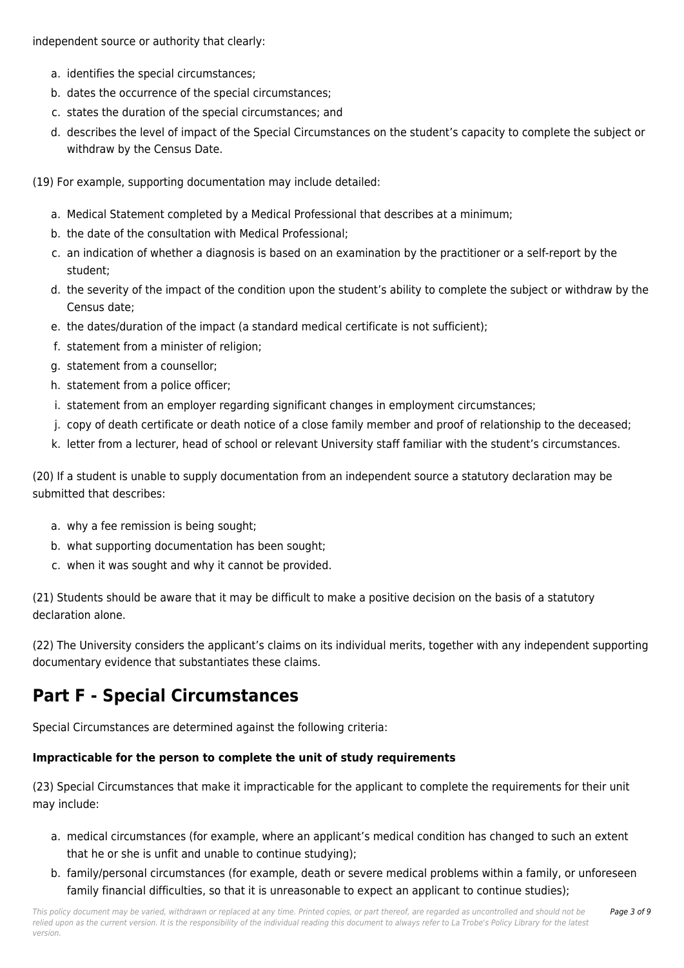independent source or authority that clearly:

- a. identifies the special circumstances;
- b. dates the occurrence of the special circumstances;
- c. states the duration of the special circumstances; and
- d. describes the level of impact of the Special Circumstances on the student's capacity to complete the subject or withdraw by the Census Date.
- (19) For example, supporting documentation may include detailed:
	- a. Medical Statement completed by a Medical Professional that describes at a minimum;
	- b. the date of the consultation with Medical Professional;
	- c. an indication of whether a diagnosis is based on an examination by the practitioner or a self-report by the student;
	- d. the severity of the impact of the condition upon the student's ability to complete the subject or withdraw by the Census date;
	- e. the dates/duration of the impact (a standard medical certificate is not sufficient);
	- f. statement from a minister of religion;
	- g. statement from a counsellor;
	- h. statement from a police officer;
	- i. statement from an employer regarding significant changes in employment circumstances;
	- j. copy of death certificate or death notice of a close family member and proof of relationship to the deceased;
	- k. letter from a lecturer, head of school or relevant University staff familiar with the student's circumstances.

(20) If a student is unable to supply documentation from an independent source a statutory declaration may be submitted that describes:

- a. why a fee remission is being sought;
- b. what supporting documentation has been sought;
- c. when it was sought and why it cannot be provided.

(21) Students should be aware that it may be difficult to make a positive decision on the basis of a statutory declaration alone.

(22) The University considers the applicant's claims on its individual merits, together with any independent supporting documentary evidence that substantiates these claims.

## **Part F - Special Circumstances**

Special Circumstances are determined against the following criteria:

#### **Impracticable for the person to complete the unit of study requirements**

(23) Special Circumstances that make it impracticable for the applicant to complete the requirements for their unit may include:

- a. medical circumstances (for example, where an applicant's medical condition has changed to such an extent that he or she is unfit and unable to continue studying);
- b. family/personal circumstances (for example, death or severe medical problems within a family, or unforeseen family financial difficulties, so that it is unreasonable to expect an applicant to continue studies);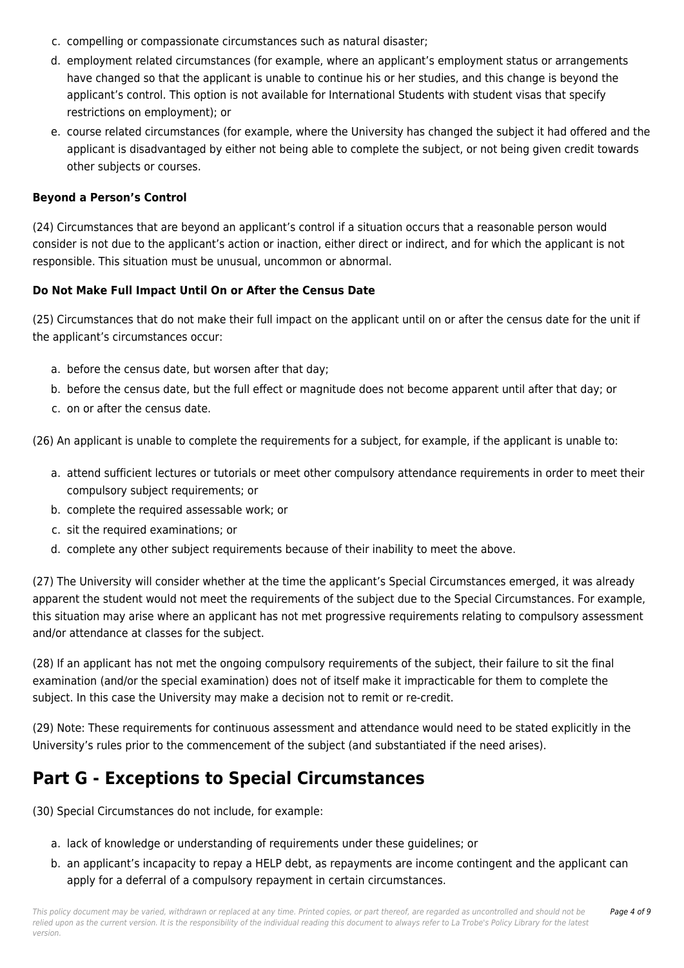- c. compelling or compassionate circumstances such as natural disaster;
- d. employment related circumstances (for example, where an applicant's employment status or arrangements have changed so that the applicant is unable to continue his or her studies, and this change is beyond the applicant's control. This option is not available for International Students with student visas that specify restrictions on employment); or
- e. course related circumstances (for example, where the University has changed the subject it had offered and the applicant is disadvantaged by either not being able to complete the subject, or not being given credit towards other subjects or courses.

#### **Beyond a Person's Control**

(24) Circumstances that are beyond an applicant's control if a situation occurs that a reasonable person would consider is not due to the applicant's action or inaction, either direct or indirect, and for which the applicant is not responsible. This situation must be unusual, uncommon or abnormal.

#### **Do Not Make Full Impact Until On or After the Census Date**

(25) Circumstances that do not make their full impact on the applicant until on or after the census date for the unit if the applicant's circumstances occur:

- a. before the census date, but worsen after that day;
- b. before the census date, but the full effect or magnitude does not become apparent until after that day; or
- c. on or after the census date.

(26) An applicant is unable to complete the requirements for a subject, for example, if the applicant is unable to:

- a. attend sufficient lectures or tutorials or meet other compulsory attendance requirements in order to meet their compulsory subject requirements; or
- b. complete the required assessable work; or
- c. sit the required examinations; or
- d. complete any other subject requirements because of their inability to meet the above.

(27) The University will consider whether at the time the applicant's Special Circumstances emerged, it was already apparent the student would not meet the requirements of the subject due to the Special Circumstances. For example, this situation may arise where an applicant has not met progressive requirements relating to compulsory assessment and/or attendance at classes for the subject.

(28) If an applicant has not met the ongoing compulsory requirements of the subject, their failure to sit the final examination (and/or the special examination) does not of itself make it impracticable for them to complete the subject. In this case the University may make a decision not to remit or re-credit.

(29) Note: These requirements for continuous assessment and attendance would need to be stated explicitly in the University's rules prior to the commencement of the subject (and substantiated if the need arises).

### **Part G - Exceptions to Special Circumstances**

(30) Special Circumstances do not include, for example:

- a. lack of knowledge or understanding of requirements under these guidelines; or
- b. an applicant's incapacity to repay a HELP debt, as repayments are income contingent and the applicant can apply for a deferral of a compulsory repayment in certain circumstances.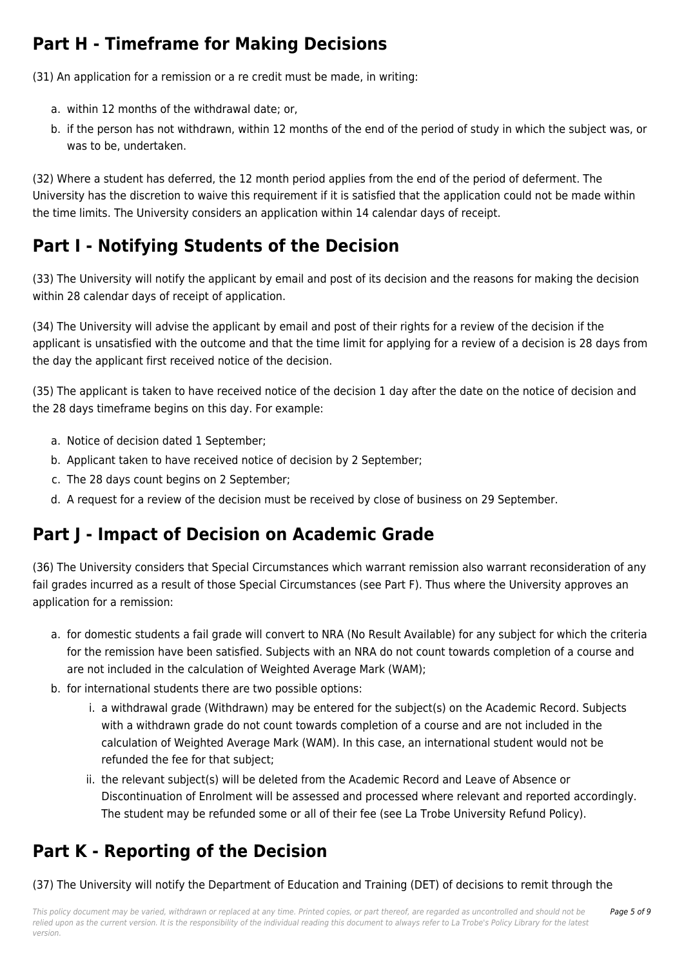## **Part H - Timeframe for Making Decisions**

(31) An application for a remission or a re credit must be made, in writing:

- a. within 12 months of the withdrawal date; or,
- b. if the person has not withdrawn, within 12 months of the end of the period of study in which the subject was, or was to be, undertaken.

(32) Where a student has deferred, the 12 month period applies from the end of the period of deferment. The University has the discretion to waive this requirement if it is satisfied that the application could not be made within the time limits. The University considers an application within 14 calendar days of receipt.

## **Part I - Notifying Students of the Decision**

(33) The University will notify the applicant by email and post of its decision and the reasons for making the decision within 28 calendar days of receipt of application.

(34) The University will advise the applicant by email and post of their rights for a review of the decision if the applicant is unsatisfied with the outcome and that the time limit for applying for a review of a decision is 28 days from the day the applicant first received notice of the decision.

(35) The applicant is taken to have received notice of the decision 1 day after the date on the notice of decision and the 28 days timeframe begins on this day. For example:

- a. Notice of decision dated 1 September;
- b. Applicant taken to have received notice of decision by 2 September;
- c. The 28 days count begins on 2 September;
- d. A request for a review of the decision must be received by close of business on 29 September.

## **Part J - Impact of Decision on Academic Grade**

(36) The University considers that Special Circumstances which warrant remission also warrant reconsideration of any fail grades incurred as a result of those Special Circumstances (see Part F). Thus where the University approves an application for a remission:

- a. for domestic students a fail grade will convert to NRA (No Result Available) for any subject for which the criteria for the remission have been satisfied. Subjects with an NRA do not count towards completion of a course and are not included in the calculation of Weighted Average Mark (WAM);
- b. for international students there are two possible options:
	- i. a withdrawal grade (Withdrawn) may be entered for the subject(s) on the Academic Record. Subjects with a withdrawn grade do not count towards completion of a course and are not included in the calculation of Weighted Average Mark (WAM). In this case, an international student would not be refunded the fee for that subject;
	- ii. the relevant subject(s) will be deleted from the Academic Record and Leave of Absence or Discontinuation of Enrolment will be assessed and processed where relevant and reported accordingly. The student may be refunded some or all of their fee (see La Trobe University Refund Policy).

## **Part K - Reporting of the Decision**

(37) The University will notify the Department of Education and Training (DET) of decisions to remit through the

This policy document may be varied, withdrawn or replaced at any time. Printed copies, or part thereof, are regarded as uncontrolled and should not be relied upon as the current version. It is the responsibility of the individual reading this document to always refer to La Trobe's Policy Library for the latest version.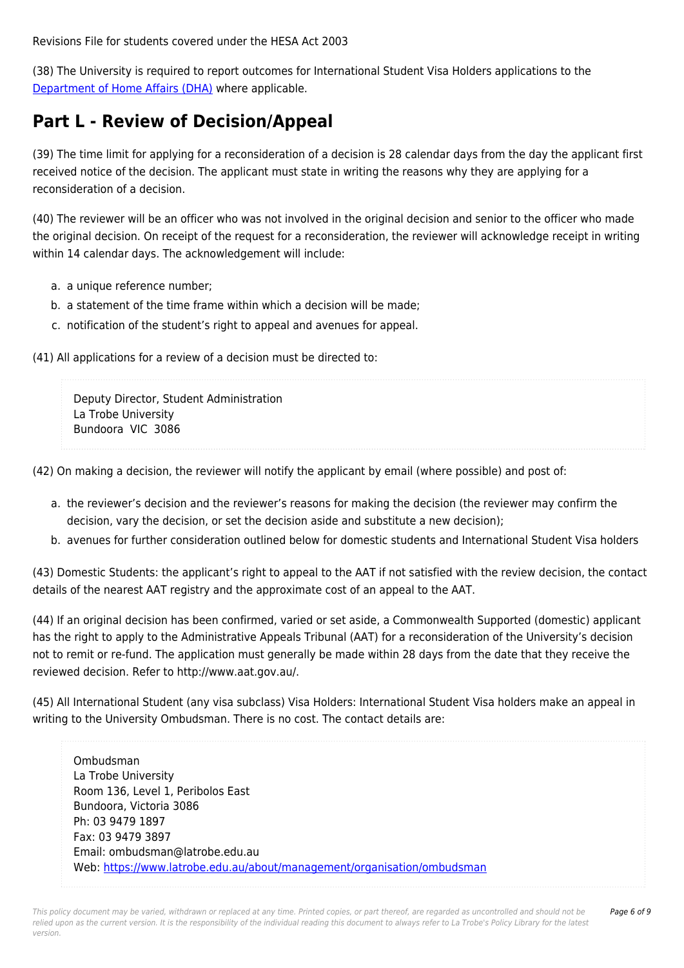Revisions File for students covered under the HESA Act 2003

(38) The University is required to report outcomes for International Student Visa Holders applications to the [Department of Home Affairs \(DHA\)](https://policies.latrobe.edu.au/download.php?id=43&version=5&associated) where applicable.

## **Part L - Review of Decision/Appeal**

(39) The time limit for applying for a reconsideration of a decision is 28 calendar days from the day the applicant first received notice of the decision. The applicant must state in writing the reasons why they are applying for a reconsideration of a decision.

(40) The reviewer will be an officer who was not involved in the original decision and senior to the officer who made the original decision. On receipt of the request for a reconsideration, the reviewer will acknowledge receipt in writing within 14 calendar days. The acknowledgement will include:

- a. a unique reference number;
- b. a statement of the time frame within which a decision will be made;
- c. notification of the student's right to appeal and avenues for appeal.

(41) All applications for a review of a decision must be directed to:

Deputy Director, Student Administration La Trobe University Bundoora VIC 3086

(42) On making a decision, the reviewer will notify the applicant by email (where possible) and post of:

- a. the reviewer's decision and the reviewer's reasons for making the decision (the reviewer may confirm the decision, vary the decision, or set the decision aside and substitute a new decision);
- b. avenues for further consideration outlined below for domestic students and International Student Visa holders

(43) Domestic Students: the applicant's right to appeal to the AAT if not satisfied with the review decision, the contact details of the nearest AAT registry and the approximate cost of an appeal to the AAT.

(44) If an original decision has been confirmed, varied or set aside, a Commonwealth Supported (domestic) applicant has the right to apply to the Administrative Appeals Tribunal (AAT) for a reconsideration of the University's decision not to remit or re-fund. The application must generally be made within 28 days from the date that they receive the reviewed decision. Refer to http://www.aat.gov.au/.

(45) All International Student (any visa subclass) Visa Holders: International Student Visa holders make an appeal in writing to the University Ombudsman. There is no cost. The contact details are:

Ombudsman La Trobe University Room 136, Level 1, Peribolos East Bundoora, Victoria 3086 Ph: 03 9479 1897 Fax: 03 9479 3897 Email: ombudsman@latrobe.edu.au Web:<https://www.latrobe.edu.au/about/management/organisation/ombudsman>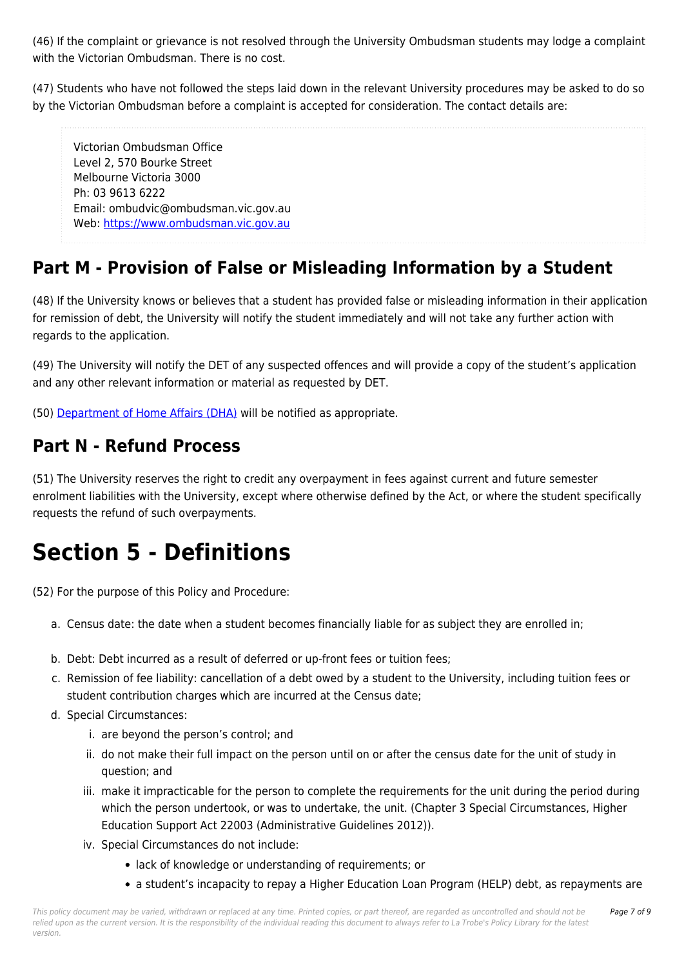(46) If the complaint or grievance is not resolved through the University Ombudsman students may lodge a complaint with the Victorian Ombudsman. There is no cost.

(47) Students who have not followed the steps laid down in the relevant University procedures may be asked to do so by the Victorian Ombudsman before a complaint is accepted for consideration. The contact details are:

Victorian Ombudsman Office Level 2, 570 Bourke Street Melbourne Victoria 3000 Ph: 03 9613 6222 Email: ombudvic@ombudsman.vic.gov.au Web: [https://www.ombudsman.vic.gov.au](https://www.ombudsman.vic.gov.au/)

## **Part M - Provision of False or Misleading Information by a Student**

(48) If the University knows or believes that a student has provided false or misleading information in their application for remission of debt, the University will notify the student immediately and will not take any further action with regards to the application.

(49) The University will notify the DET of any suspected offences and will provide a copy of the student's application and any other relevant information or material as requested by DET.

(50) [Department of Home Affairs \(DHA\)](https://policies.latrobe.edu.au/download.php?id=43&version=5&associated) will be notified as appropriate.

### **Part N - Refund Process**

(51) The University reserves the right to credit any overpayment in fees against current and future semester enrolment liabilities with the University, except where otherwise defined by the Act, or where the student specifically requests the refund of such overpayments.

# **Section 5 - Definitions**

(52) For the purpose of this Policy and Procedure:

- a. Census date: the date when a student becomes financially liable for as subject they are enrolled in;
- b. Debt: Debt incurred as a result of deferred or up-front fees or tuition fees;
- c. Remission of fee liability: cancellation of a debt owed by a student to the University, including tuition fees or student contribution charges which are incurred at the Census date;
- d. Special Circumstances:
	- i. are beyond the person's control; and
	- ii. do not make their full impact on the person until on or after the census date for the unit of study in question; and
	- iii. make it impracticable for the person to complete the requirements for the unit during the period during which the person undertook, or was to undertake, the unit. (Chapter 3 Special Circumstances, Higher Education Support Act 22003 (Administrative Guidelines 2012)).
	- iv. Special Circumstances do not include:
		- lack of knowledge or understanding of requirements; or
		- a student's incapacity to repay a Higher Education Loan Program (HELP) debt, as repayments are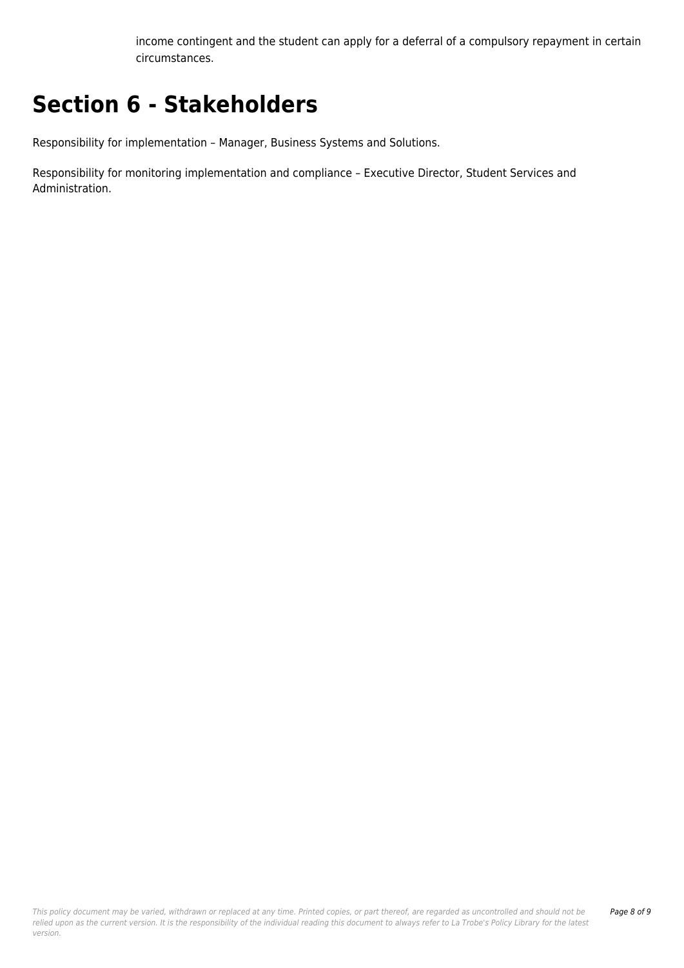income contingent and the student can apply for a deferral of a compulsory repayment in certain circumstances.

# **Section 6 - Stakeholders**

Responsibility for implementation – Manager, Business Systems and Solutions.

Responsibility for monitoring implementation and compliance – Executive Director, Student Services and Administration.

This policy document may be varied, withdrawn or replaced at any time. Printed copies, or part thereof, are regarded as uncontrolled and should not be relied upon as the current version. It is the responsibility of the individual reading this document to always refer to La Trobe's Policy Library for the latest version.